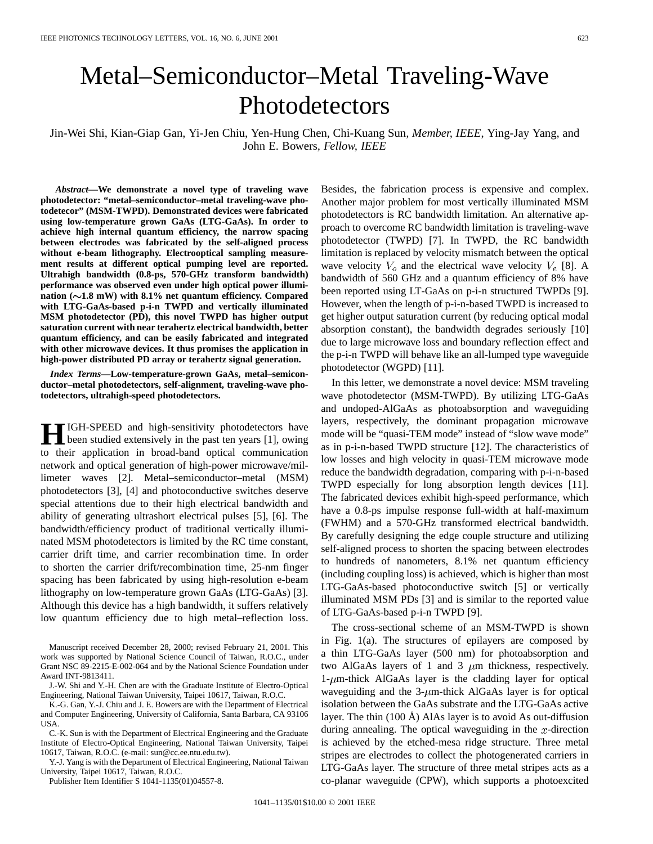## Metal–Semiconductor–Metal Traveling-Wave Photodetectors

Jin-Wei Shi, Kian-Giap Gan, Yi-Jen Chiu, Yen-Hung Chen, Chi-Kuang Sun*, Member, IEEE*, Ying-Jay Yang, and John E. Bowers*, Fellow, IEEE*

*Abstract—***We demonstrate a novel type of traveling wave photodetector: "metal–semiconductor–metal traveling-wave photodetecor" (MSM-TWPD). Demonstrated devices were fabricated using low-temperature grown GaAs (LTG-GaAs). In order to achieve high internal quantum efficiency, the narrow spacing between electrodes was fabricated by the self-aligned process without e-beam lithography. Electrooptical sampling measurement results at different optical pumping level are reported. Ultrahigh bandwidth (0.8-ps, 570-GHz transform bandwidth) performance was observed even under high optical power illumi**nation  $(\sim 1.8 \text{ mW})$  with 8.1% net quantum efficiency. Compared **with LTG-GaAs-based p-i-n TWPD and vertically illuminated MSM photodetector (PD), this novel TWPD has higher output saturation current with near terahertz electrical bandwidth, better quantum efficiency, and can be easily fabricated and integrated with other microwave devices. It thus promises the application in high-power distributed PD array or terahertz signal generation.**

*Index Terms—***Low-temperature-grown GaAs, metal–semiconductor–metal photodetectors, self-alignment, traveling-wave photodetectors, ultrahigh-speed photodetectors.**

**H**IGH-SPEED and high-sensitivity photodetectors have<br>been studied extensively in the past ten years [1], owing to their application in broad-band optical communication network and optical generation of high-power microwave/millimeter waves [2]. Metal–semiconductor–metal (MSM) photodetectors [3], [4] and photoconductive switches deserve special attentions due to their high electrical bandwidth and ability of generating ultrashort electrical pulses [5], [6]. The bandwidth/efficiency product of traditional vertically illuminated MSM photodetectors is limited by the RC time constant, carrier drift time, and carrier recombination time. In order to shorten the carrier drift/recombination time, 25-nm finger spacing has been fabricated by using high-resolution e-beam lithography on low-temperature grown GaAs (LTG-GaAs) [3]. Although this device has a high bandwidth, it suffers relatively low quantum efficiency due to high metal–reflection loss.

K.-G. Gan, Y.-J. Chiu and J. E. Bowers are with the Department of Electrical and Computer Engineering, University of California, Santa Barbara, CA 93106 USA.

C.-K. Sun is with the Department of Electrical Engineering and the Graduate Institute of Electro-Optical Engineering, National Taiwan University, Taipei 10617, Taiwan, R.O.C. (e-mail: sun@cc.ee.ntu.edu.tw).

Y.-J. Yang is with the Department of Electrical Engineering, National Taiwan University, Taipei 10617, Taiwan, R.O.C.

Publisher Item Identifier S 1041-1135(01)04557-8.

Besides, the fabrication process is expensive and complex. Another major problem for most vertically illuminated MSM photodetectors is RC bandwidth limitation. An alternative approach to overcome RC bandwidth limitation is traveling-wave photodetector (TWPD) [7]. In TWPD, the RC bandwidth limitation is replaced by velocity mismatch between the optical wave velocity  $V_o$  and the electrical wave velocity  $V_e$  [8]. A bandwidth of 560 GHz and a quantum efficiency of 8% have been reported using LT-GaAs on p-i-n structured TWPDs [9]. However, when the length of p-i-n-based TWPD is increased to get higher output saturation current (by reducing optical modal absorption constant), the bandwidth degrades seriously [10] due to large microwave loss and boundary reflection effect and the p-i-n TWPD will behave like an all-lumped type waveguide photodetector (WGPD) [11].

In this letter, we demonstrate a novel device: MSM traveling wave photodetector (MSM-TWPD). By utilizing LTG-GaAs and undoped-AlGaAs as photoabsorption and waveguiding layers, respectively, the dominant propagation microwave mode will be "quasi-TEM mode" instead of "slow wave mode" as in p-i-n-based TWPD structure [12]. The characteristics of low losses and high velocity in quasi-TEM microwave mode reduce the bandwidth degradation, comparing with p-i-n-based TWPD especially for long absorption length devices [11]. The fabricated devices exhibit high-speed performance, which have a 0.8-ps impulse response full-width at half-maximum (FWHM) and a 570-GHz transformed electrical bandwidth. By carefully designing the edge couple structure and utilizing self-aligned process to shorten the spacing between electrodes to hundreds of nanometers, 8.1% net quantum efficiency (including coupling loss) is achieved, which is higher than most LTG-GaAs-based photoconductive switch [5] or vertically illuminated MSM PDs [3] and is similar to the reported value of LTG-GaAs-based p-i-n TWPD [9].

The cross-sectional scheme of an MSM-TWPD is shown in Fig. 1(a). The structures of epilayers are composed by a thin LTG-GaAs layer (500 nm) for photoabsorption and two AlGaAs layers of 1 and 3  $\mu$ m thickness, respectively.  $1-\mu$ m-thick AlGaAs layer is the cladding layer for optical waveguiding and the  $3-\mu m$ -thick AlGaAs layer is for optical isolation between the GaAs substrate and the LTG-GaAs active layer. The thin (100 Å) AlAs layer is to avoid As out-diffusion during annealing. The optical waveguiding in the  $x$ -direction is achieved by the etched-mesa ridge structure. Three metal stripes are electrodes to collect the photogenerated carriers in LTG-GaAs layer. The structure of three metal stripes acts as a co-planar waveguide (CPW), which supports a photoexcited

Manuscript received December 28, 2000; revised February 21, 2001. This work was supported by National Science Council of Taiwan, R.O.C., under Grant NSC 89-2215-E-002-064 and by the National Science Foundation under Award INT-9813411.

J.-W. Shi and Y.-H. Chen are with the Graduate Institute of Electro-Optical Engineering, National Taiwan University, Taipei 10617, Taiwan, R.O.C.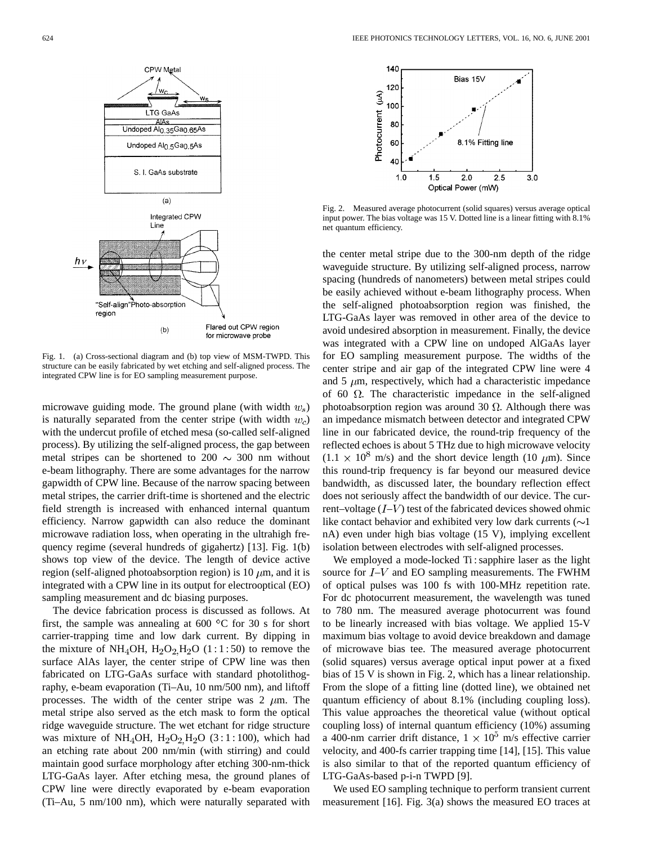

Fig. 1. (a) Cross-sectional diagram and (b) top view of MSM-TWPD. This structure can be easily fabricated by wet etching and self-aligned process. The integrated CPW line is for EO sampling measurement purpose.

microwave guiding mode. The ground plane (with width  $w_s$ ) is naturally separated from the center stripe (with width  $w_c$ ) with the undercut profile of etched mesa (so-called self-aligned process). By utilizing the self-aligned process, the gap between metal stripes can be shortened to  $200 \sim 300$  nm without e-beam lithography. There are some advantages for the narrow gapwidth of CPW line. Because of the narrow spacing between metal stripes, the carrier drift-time is shortened and the electric field strength is increased with enhanced internal quantum efficiency. Narrow gapwidth can also reduce the dominant microwave radiation loss, when operating in the ultrahigh frequency regime (several hundreds of gigahertz) [13]. Fig. 1(b) shows top view of the device. The length of device active region (self-aligned photoabsorption region) is 10  $\mu$ m, and it is integrated with a CPW line in its output for electrooptical (EO) sampling measurement and dc biasing purposes.

The device fabrication process is discussed as follows. At first, the sample was annealing at 600  $\degree$ C for 30 s for short carrier-trapping time and low dark current. By dipping in the mixture of NH<sub>4</sub>OH,  $H_2O_2H_2O$  (1:1:50) to remove the surface AlAs layer, the center stripe of CPW line was then fabricated on LTG-GaAs surface with standard photolithography, e-beam evaporation (Ti–Au, 10 nm/500 nm), and liftoff processes. The width of the center stripe was 2  $\mu$ m. The metal stripe also served as the etch mask to form the optical ridge waveguide structure. The wet etchant for ridge structure was mixture of NH<sub>4</sub>OH,  $H_2O_2H_2O$  (3:1:100), which had an etching rate about 200 nm/min (with stirring) and could maintain good surface morphology after etching 300-nm-thick LTG-GaAs layer. After etching mesa, the ground planes of CPW line were directly evaporated by e-beam evaporation (Ti–Au, 5 nm/100 nm), which were naturally separated with



Fig. 2. Measured average photocurrent (solid squares) versus average optical input power. The bias voltage was 15 V. Dotted line is a linear fitting with 8.1% net quantum efficiency.

the center metal stripe due to the 300-nm depth of the ridge waveguide structure. By utilizing self-aligned process, narrow spacing (hundreds of nanometers) between metal stripes could be easily achieved without e-beam lithography process. When the self-aligned photoabsorption region was finished, the LTG-GaAs layer was removed in other area of the device to avoid undesired absorption in measurement. Finally, the device was integrated with a CPW line on undoped AlGaAs layer for EO sampling measurement purpose. The widths of the center stripe and air gap of the integrated CPW line were 4 and 5  $\mu$ m, respectively, which had a characteristic impedance of 60  $\Omega$ . The characteristic impedance in the self-aligned photoabsorption region was around 30  $\Omega$ . Although there was an impedance mismatch between detector and integrated CPW line in our fabricated device, the round-trip frequency of the reflected echoes is about 5 THz due to high microwave velocity  $(1.1 \times 10^8 \text{ m/s})$  and the short device length (10  $\mu$ m). Since this round-trip frequency is far beyond our measured device bandwidth, as discussed later, the boundary reflection effect does not seriously affect the bandwidth of our device. The current–voltage  $(I-V)$  test of the fabricated devices showed ohmic like contact behavior and exhibited very low dark currents  $(\sim]$ nA) even under high bias voltage (15 V), implying excellent isolation between electrodes with self-aligned processes.

We employed a mode-locked Ti: sapphire laser as the light source for  $I-V$  and EO sampling measurements. The FWHM of optical pulses was 100 fs with 100-MHz repetition rate. For dc photocurrent measurement, the wavelength was tuned to 780 nm. The measured average photocurrent was found to be linearly increased with bias voltage. We applied 15-V maximum bias voltage to avoid device breakdown and damage of microwave bias tee. The measured average photocurrent (solid squares) versus average optical input power at a fixed bias of 15 V is shown in Fig. 2, which has a linear relationship. From the slope of a fitting line (dotted line), we obtained net quantum efficiency of about 8.1% (including coupling loss). This value approaches the theoretical value (without optical coupling loss) of internal quantum efficiency (10%) assuming a 400-nm carrier drift distance,  $1 \times 10^5$  m/s effective carrier velocity, and 400-fs carrier trapping time [14], [15]. This value is also similar to that of the reported quantum efficiency of LTG-GaAs-based p-i-n TWPD [9].

We used EO sampling technique to perform transient current measurement [16]. Fig. 3(a) shows the measured EO traces at